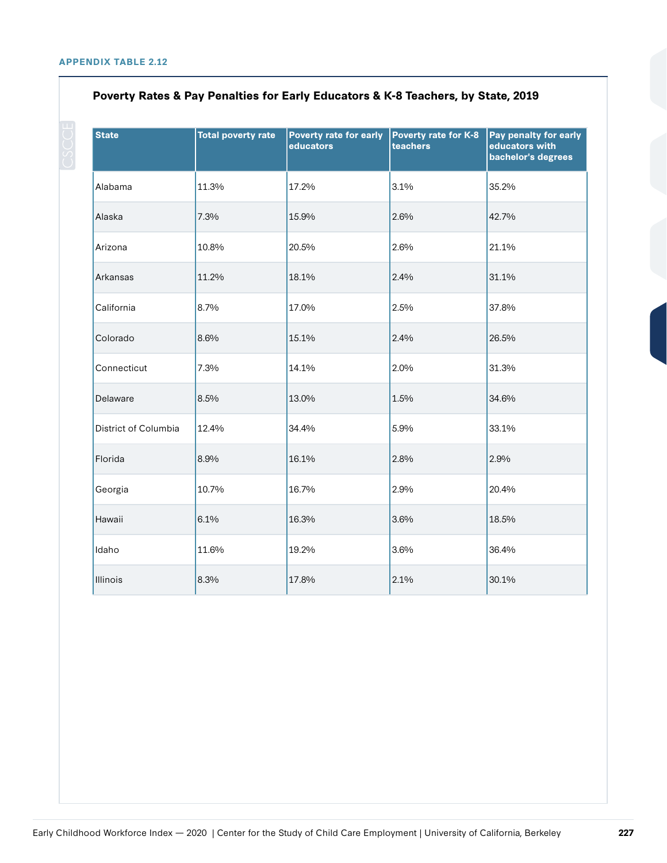| <b>State</b>         | <b>Total poverty rate</b> | <b>Poverty rate for early</b><br>educators | Poverty rate for K-8<br>teachers | Pay penalty for early<br>educators with<br>bachelor's degrees |
|----------------------|---------------------------|--------------------------------------------|----------------------------------|---------------------------------------------------------------|
| Alabama              | 11.3%                     | 17.2%                                      | 3.1%                             | 35.2%                                                         |
| Alaska               | 7.3%                      | 15.9%                                      | 2.6%                             | 42.7%                                                         |
| Arizona              | 10.8%                     | 20.5%                                      | 2.6%                             | 21.1%                                                         |
| Arkansas             | 11.2%                     | 18.1%                                      | 2.4%                             | 31.1%                                                         |
| California           | 8.7%                      | 17.0%                                      | 2.5%                             | 37.8%                                                         |
| Colorado             | 8.6%                      | 15.1%                                      | 2.4%                             | 26.5%                                                         |
| Connecticut          | 7.3%                      | 14.1%                                      | 2.0%                             | 31.3%                                                         |
| Delaware             | 8.5%                      | 13.0%                                      | 1.5%                             | 34.6%                                                         |
| District of Columbia | 12.4%                     | 34.4%                                      | 5.9%                             | 33.1%                                                         |
| Florida              | 8.9%                      | 16.1%                                      | 2.8%                             | 2.9%                                                          |
| Georgia              | 10.7%                     | 16.7%                                      | 2.9%                             | 20.4%                                                         |
| Hawaii               | 6.1%                      | 16.3%                                      | 3.6%                             | 18.5%                                                         |
| Idaho                | 11.6%                     | 19.2%                                      | 3.6%                             | 36.4%                                                         |
| Illinois             | 8.3%                      | 17.8%                                      | 2.1%                             | 30.1%                                                         |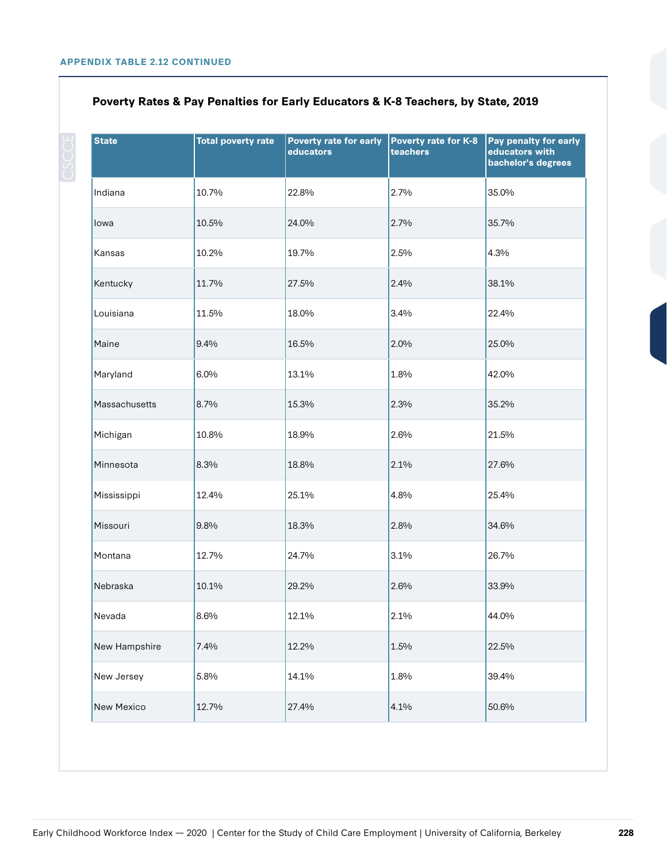| <b>State</b>  | <b>Total poverty rate</b> | <b>Poverty rate for early</b><br>educators | Poverty rate for K-8<br>teachers | Pay penalty for early<br>educators with<br>bachelor's degrees |
|---------------|---------------------------|--------------------------------------------|----------------------------------|---------------------------------------------------------------|
| Indiana       | 10.7%                     | 22.8%                                      | 2.7%                             | 35.0%                                                         |
| lowa          | 10.5%                     | 24.0%                                      | 2.7%                             | 35.7%                                                         |
| Kansas        | 10.2%                     | 19.7%                                      | 2.5%                             | 4.3%                                                          |
| Kentucky      | 11.7%                     | 27.5%                                      | 2.4%                             | 38.1%                                                         |
| Louisiana     | 11.5%                     | 18.0%                                      | 3.4%                             | 22.4%                                                         |
| Maine         | 9.4%                      | 16.5%                                      | 2.0%                             | 25.0%                                                         |
| Maryland      | 6.0%                      | 13.1%                                      | 1.8%                             | 42.0%                                                         |
| Massachusetts | 8.7%                      | 15.3%                                      | 2.3%                             | 35.2%                                                         |
| Michigan      | 10.8%                     | 18.9%                                      | 2.6%                             | 21.5%                                                         |
| Minnesota     | 8.3%                      | 18.8%                                      | 2.1%                             | 27.6%                                                         |
| Mississippi   | 12.4%                     | 25.1%                                      | 4.8%                             | 25.4%                                                         |
| Missouri      | 9.8%                      | 18.3%                                      | 2.8%                             | 34.6%                                                         |
| Montana       | 12.7%                     | 24.7%                                      | 3.1%                             | 26.7%                                                         |
| Nebraska      | 10.1%                     | 29.2%                                      | 2.6%                             | 33.9%                                                         |
| Nevada        | 8.6%                      | 12.1%                                      | 2.1%                             | 44.0%                                                         |
| New Hampshire | 7.4%                      | 12.2%                                      | 1.5%                             | 22.5%                                                         |
| New Jersey    | 5.8%                      | 14.1%                                      | 1.8%                             | 39.4%                                                         |
| New Mexico    | 12.7%                     | 27.4%                                      | 4.1%                             | 50.6%                                                         |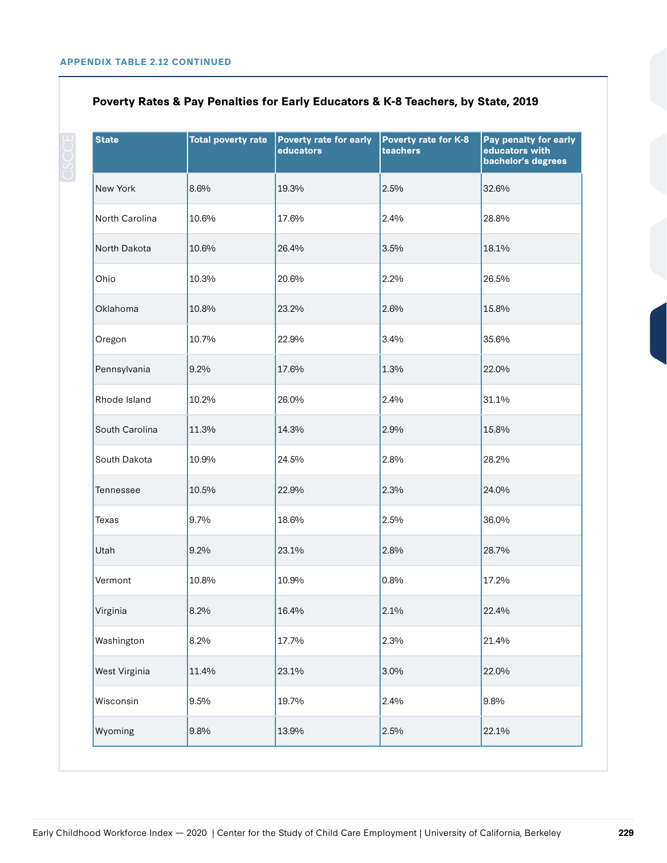| <b>State</b>   | <b>Total poverty rate</b> | Poverty rate for early<br>educators | Poverty rate for K-8<br>teachers | Pay penalty for early<br>educators with<br>bachelor's degrees |
|----------------|---------------------------|-------------------------------------|----------------------------------|---------------------------------------------------------------|
| New York       | 8.6%                      | 19.3%                               | 2.5%                             | 32.6%                                                         |
| North Carolina | 10.6%                     | 17.6%                               | 2.4%                             | 28.8%                                                         |
| North Dakota   | 10.6%                     | 26.4%                               | 3.5%                             | 18.1%                                                         |
| Ohio           | 10.3%                     | 20.6%                               | 2.2%                             | 26.5%                                                         |
| Oklahoma       | 10.8%                     | 23.2%                               | 2.6%                             | 15.8%                                                         |
| Oregon         | 10.7%                     | 22.9%                               | 3.4%                             | 35.6%                                                         |
| Pennsylvania   | 9.2%                      | 17.6%                               | 1.3%                             | 22.0%                                                         |
| Rhode Island   | 10.2%                     | 26.0%                               | 2.4%                             | 31.1%                                                         |
| South Carolina | 11.3%                     | 14.3%                               | 2.9%                             | 15.8%                                                         |
| South Dakota   | 10.9%                     | 24.5%                               | 2.8%                             | 28.2%                                                         |
| Tennessee      | 10.5%                     | 22.9%                               | 2.3%                             | 24.0%                                                         |
| Texas          | 9.7%                      | 18.6%                               | 2.5%                             | 36.0%                                                         |
| Utah           | 9.2%                      | 23.1%                               | 2.8%                             | 28.7%                                                         |
| Vermont        | 10.8%                     | 10.9%                               | 0.8%                             | 17.2%                                                         |
| Virginia       | 8.2%                      | 16.4%                               | 2.1%                             | 22.4%                                                         |
| Washington     | 8.2%                      | 17.7%                               | 2.3%                             | 21.4%                                                         |
| West Virginia  | 11.4%                     | 23.1%                               | 3.0%                             | 22.0%                                                         |
| Wisconsin      | 9.5%                      | 19.7%                               | 2.4%                             | 9.8%                                                          |
| Wyoming        | 9.8%                      | 13.9%                               | 2.5%                             | 22.1%                                                         |